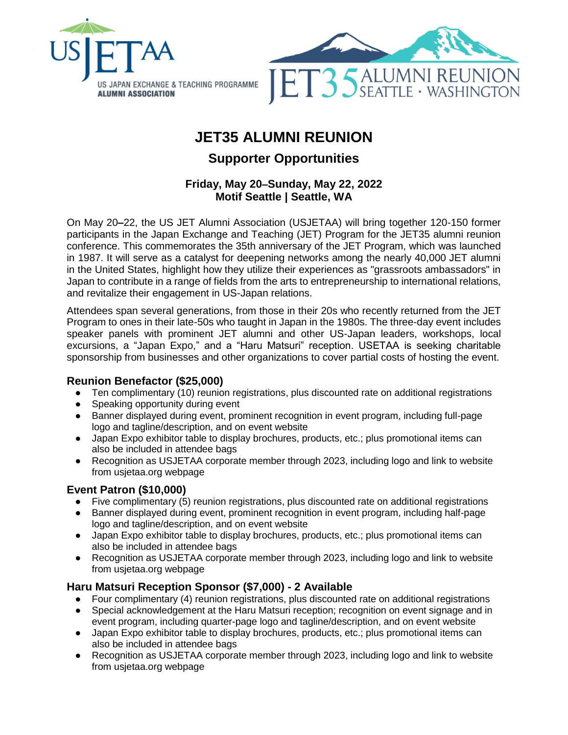

# **JET35 ALUMNI REUNION**

# **Supporter Opportunities**

# **Friday, May 20–Sunday, May 22, 2022 Motif Seattle | Seattle, WA**

On May 20**–**22, the US JET Alumni Association (USJETAA) will bring together 120-150 former participants in the Japan Exchange and Teaching (JET) Program for the JET35 alumni reunion conference. This commemorates the 35th anniversary of the JET Program, which was launched in 1987. It will serve as a catalyst for deepening networks among the nearly 40,000 JET alumni in the United States, highlight how they utilize their experiences as "grassroots ambassadors" in Japan to contribute in a range of fields from the arts to entrepreneurship to international relations, and revitalize their engagement in US-Japan relations.

Attendees span several generations, from those in their 20s who recently returned from the JET Program to ones in their late-50s who taught in Japan in the 1980s. The three-day event includes speaker panels with prominent JET alumni and other US-Japan leaders, workshops, local excursions, a "Japan Expo," and a "Haru Matsuri" reception. USETAA is seeking charitable sponsorship from businesses and other organizations to cover partial costs of hosting the event.

#### **Reunion Benefactor (\$25,000)**

- Ten complimentary (10) reunion registrations, plus discounted rate on additional registrations
- Speaking opportunity during event
- Banner displayed during event, prominent recognition in event program, including full-page logo and tagline/description, and on event website
- Japan Expo exhibitor table to display brochures, products, etc.; plus promotional items can also be included in attendee bags
- Recognition as USJETAA corporate member through 2023, including logo and link to website from usjetaa.org webpage

#### **Event Patron (\$10,000)**

- Five complimentary (5) reunion registrations, plus discounted rate on additional registrations
- Banner displayed during event, prominent recognition in event program, including half-page logo and tagline/description, and on event website
- Japan Expo exhibitor table to display brochures, products, etc.; plus promotional items can also be included in attendee bags
- Recognition as USJETAA corporate member through 2023, including logo and link to website from usjetaa.org webpage

# **Haru Matsuri Reception Sponsor (\$7,000) - 2 Available**

- Four complimentary (4) reunion registrations, plus discounted rate on additional registrations
- Special acknowledgement at the Haru Matsuri reception; recognition on event signage and in event program, including quarter-page logo and tagline/description, and on event website
- Japan Expo exhibitor table to display brochures, products, etc.; plus promotional items can also be included in attendee bags
- Recognition as USJETAA corporate member through 2023, including logo and link to website from usjetaa.org webpage